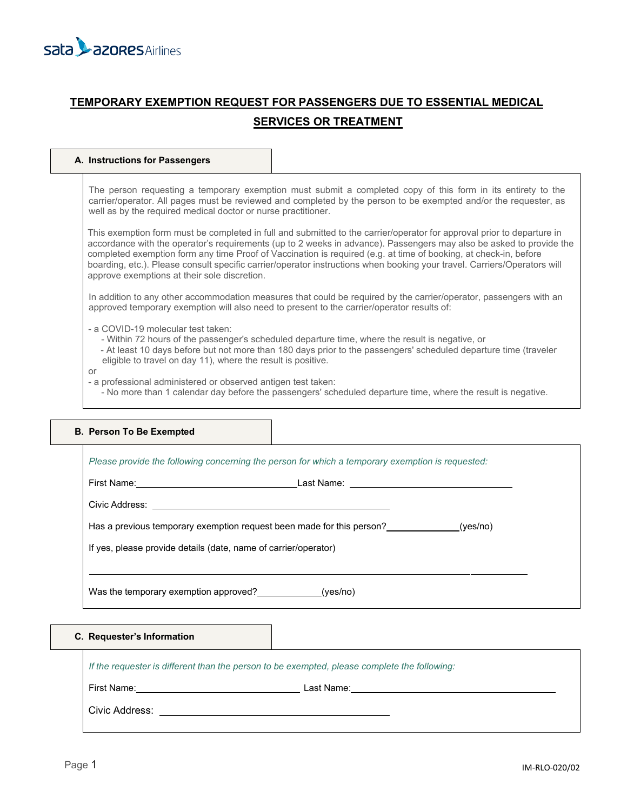

# **TEMPORARY EXEMPTION REQUEST FOR PASSENGERS DUE TO ESSENTIAL MEDICAL SERVICES OR TREATMENT**

### **A. Instructions for Passengers**

The person requesting a temporary exemption must submit a completed copy of this form in its entirety to the carrier/operator. All pages must be reviewed and completed by the person to be exempted and/or the requester, as well as by the required medical doctor or nurse practitioner.

This exemption form must be completed in full and submitted to the carrier/operator for approval prior to departure in accordance with the operator's requirements (up to 2 weeks in advance). Passengers may also be asked to provide the completed exemption form any time Proof of Vaccination is required (e.g. at time of booking, at check-in, before boarding, etc.). Please consult specific carrier/operator instructions when booking your travel. Carriers/Operators will approve exemptions at their sole discretion.

In addition to any other accommodation measures that could be required by the carrier/operator, passengers with an approved temporary exemption will also need to present to the carrier/operator results of:

- a COVID-19 molecular test taken:
	- Within 72 hours of the passenger's scheduled departure time, where the result is negative, or
	- At least 10 days before but not more than 180 days prior to the passengers' scheduled departure time (traveler eligible to travel on day 11), where the result is positive.

#### or

- a professional administered or observed antigen test taken:
	- No more than 1 calendar day before the passengers' scheduled departure time, where the result is negative.

| Has a previous temporary exemption request been made for this person? (yes/no) |  |
|--------------------------------------------------------------------------------|--|
| If yes, please provide details (date, name of carrier/operator)                |  |

# **C. Requester's Information**

*If the requester is different than the person to be exempted, please complete the following:*

First Name: <u>\_\_\_\_\_\_\_\_\_\_\_\_\_\_\_\_\_\_\_\_\_\_\_\_\_\_\_\_\_\_\_\_\_\_</u> Last Name:\_\_\_

Civic Address: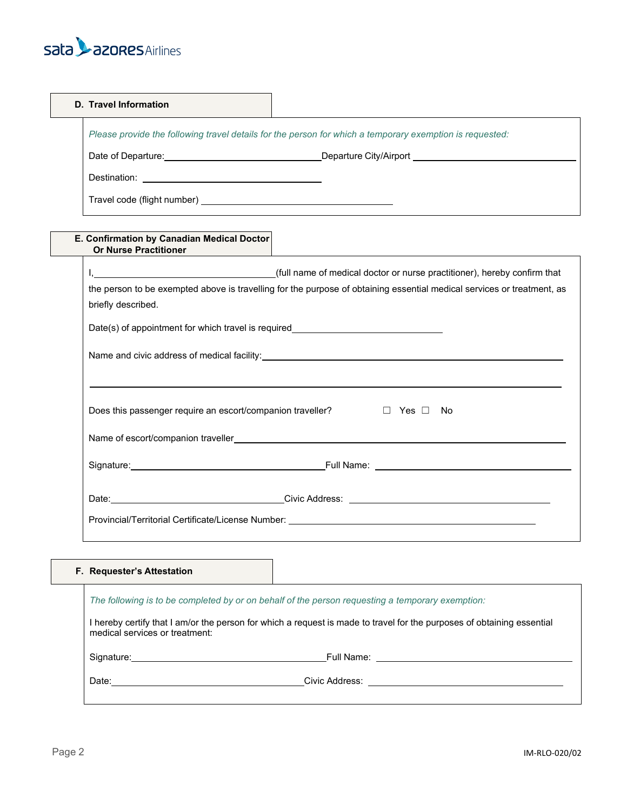# sata **Lazores** Airlines

| D. Travel Information                                                                                    |  |
|----------------------------------------------------------------------------------------------------------|--|
| Please provide the following travel details for the person for which a temporary exemption is requested: |  |
| Date of Departure: <u>contained</u> and all the part of Departure.                                       |  |
|                                                                                                          |  |
|                                                                                                          |  |

# **E. Confirmation by Canadian Medical Doctor Or Nurse Practitioner**

| the person to be exempted above is travelling for the purpose of obtaining essential medical services or treatment, as |
|------------------------------------------------------------------------------------------------------------------------|
| briefly described.                                                                                                     |
| Date(s) of appointment for which travel is required_____________________________                                       |
|                                                                                                                        |
|                                                                                                                        |
|                                                                                                                        |
| Does this passenger require an escort/companion traveller?<br>D Yes □ No                                               |
|                                                                                                                        |
|                                                                                                                        |
|                                                                                                                        |
| Provincial/Territorial Certificate/License Number: _____________________________                                       |

# **F. Requester's Attestation**

| The following is to be completed by or on behalf of the person requesting a temporary exemption:                                                         |  |  |  |  |
|----------------------------------------------------------------------------------------------------------------------------------------------------------|--|--|--|--|
| I hereby certify that I am/or the person for which a request is made to travel for the purposes of obtaining essential<br>medical services or treatment: |  |  |  |  |
|                                                                                                                                                          |  |  |  |  |
|                                                                                                                                                          |  |  |  |  |